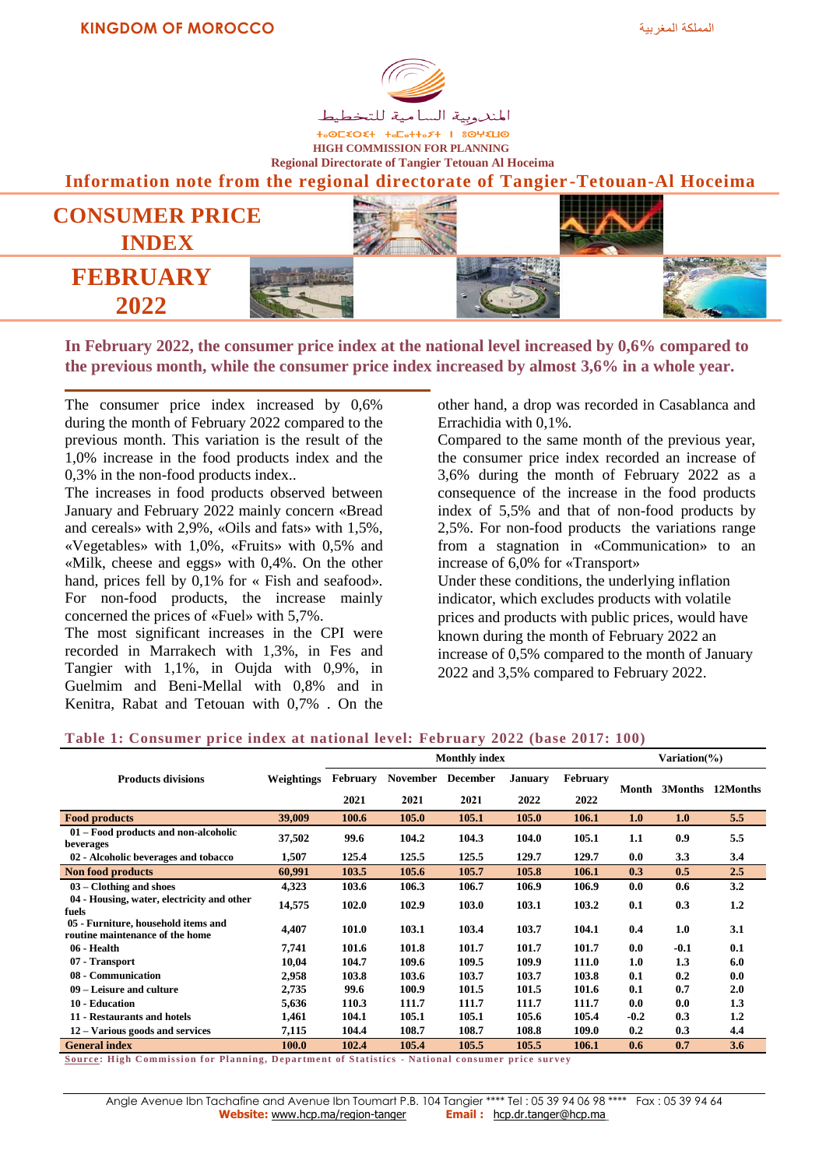

**+**<sup>OL</sup><br />
+-OL<br />
+-OL<br />
+-OL<br />
+-OL<br />
+-OL<br />
+-OL<br />
+-OL<br />
+-OL<br />
+-OL<br />
+-OL<br />
+-OL<br />
+-OL<br />
+-OL<br />
+-OL<br />
+-OL<br />
+-OL<br />
+-OL<br />
+-OL<br />
+-OL<br /> **HIGH COMMISSION FOR PLANNING Regional Directorate of Tangier Tetouan Al Hoceima**

**Information note from the regional directorate of Tangier -Tetouan-Al Hoceima**



**In February 2022, the consumer price index at the national level increased by 0,6% compared to the previous month, while the consumer price index increased by almost 3,6% in a whole year.**

The consumer price index increased by 0,6% during the month of February 2022 compared to the previous month. This variation is the result of the 1,0% increase in the food products index and the 0,3% in the non-food products index..

The increases in food products observed between January and February 2022 mainly concern «Bread and cereals» with 2,9%, «Oils and fats» with 1,5%, «Vegetables» with 1,0%, «Fruits» with 0,5% and «Milk, cheese and eggs» with 0,4%. On the other hand, prices fell by 0,1% for « Fish and seafood». For non-food products, the increase mainly concerned the prices of «Fuel» with 5,7%.

The most significant increases in the CPI were recorded in Marrakech with 1,3%, in Fes and Tangier with 1,1%, in Oujda with 0,9%, in Guelmim and Beni-Mellal with 0,8% and in Kenitra, Rabat and Tetouan with 0,7% . On the other hand, a drop was recorded in Casablanca and Errachidia with 0,1%.

Compared to the same month of the previous year, the consumer price index recorded an increase of 3,6% during the month of February 2022 as a consequence of the increase in the food products index of 5,5% and that of non-food products by 2,5%. For non-food products the variations range from a stagnation in «Communication» to an increase of 6,0% for «Transport» Under these conditions, the underlying inflation indicator, which excludes products with volatile prices and products with public prices, would have known during the month of February 2022 an increase of 0,5% compared to the month of January 2022 and 3,5% compared to February 2022.

### **Table 1: Consumer price index at national level: February 2022 (base 2017: 100)**

|                                                                        |            | <b>Monthly index</b> |                 |                 |                |          |        | Variation(%) |                  |  |
|------------------------------------------------------------------------|------------|----------------------|-----------------|-----------------|----------------|----------|--------|--------------|------------------|--|
| <b>Products divisions</b>                                              | Weightings | <b>February</b>      | <b>November</b> | <b>December</b> | <b>January</b> | February | Month  |              | 3Months 12Months |  |
|                                                                        |            | 2021                 | 2021            | 2021            | 2022           | 2022     |        |              |                  |  |
| <b>Food products</b>                                                   | 39,009     | 100.6                | 105.0           | 105.1           | 105.0          | 106.1    | 1.0    | 1.0          | 5.5              |  |
| 01 – Food products and non-alcoholic<br>beverages                      | 37,502     | 99.6                 | 104.2           | 104.3           | 104.0          | 105.1    | 1.1    | 0.9          | 5.5              |  |
| 02 - Alcoholic beverages and tobacco                                   | 1,507      | 125.4                | 125.5           | 125.5           | 129.7          | 129.7    | 0.0    | 3.3          | 3.4              |  |
| <b>Non food products</b>                                               | 60,991     | 103.5                | 105.6           | 105.7           | 105.8          | 106.1    | 0.3    | 0.5          | 2.5              |  |
| $03 - Clothing$ and shoes                                              | 4,323      | 103.6                | 106.3           | 106.7           | 106.9          | 106.9    | 0.0    | 0.6          | 3.2              |  |
| 04 - Housing, water, electricity and other<br>fuels                    | 14,575     | 102.0                | 102.9           | 103.0           | 103.1          | 103.2    | 0.1    | 0.3          | $1.2\phantom{0}$ |  |
| 05 - Furniture, household items and<br>routine maintenance of the home | 4,407      | 101.0                | 103.1           | 103.4           | 103.7          | 104.1    | 0.4    | 1.0          | 3.1              |  |
| 06 - Health                                                            | 7,741      | 101.6                | 101.8           | 101.7           | 101.7          | 101.7    | 0.0    | $-0.1$       | 0.1              |  |
| 07 - Transport                                                         | 10,04      | 104.7                | 109.6           | 109.5           | 109.9          | 111.0    | 1.0    | 1.3          | 6.0              |  |
| 08 - Communication                                                     | 2,958      | 103.8                | 103.6           | 103.7           | 103.7          | 103.8    | 0.1    | 0.2          | 0.0              |  |
| 09 – Leisure and culture                                               | 2,735      | 99.6                 | 100.9           | 101.5           | 101.5          | 101.6    | 0.1    | 0.7          | 2.0              |  |
| 10 - Education                                                         | 5,636      | 110.3                | 111.7           | 111.7           | 111.7          | 111.7    | 0.0    | 0.0          | 1.3              |  |
| 11 - Restaurants and hotels                                            | 1,461      | 104.1                | 105.1           | 105.1           | 105.6          | 105.4    | $-0.2$ | 0.3          | 1.2              |  |
| 12 – Various goods and services                                        | 7,115      | 104.4                | 108.7           | 108.7           | 108.8          | 109.0    | 0.2    | 0.3          | 4.4              |  |
| <b>General index</b>                                                   | 100.0      | 102.4                | 105.4           | 105.5           | 105.5          | 106.1    | 0.6    | 0.7          | 3.6              |  |

**Source**: High Commission for Planning, Department of Statistics - National consumer price survey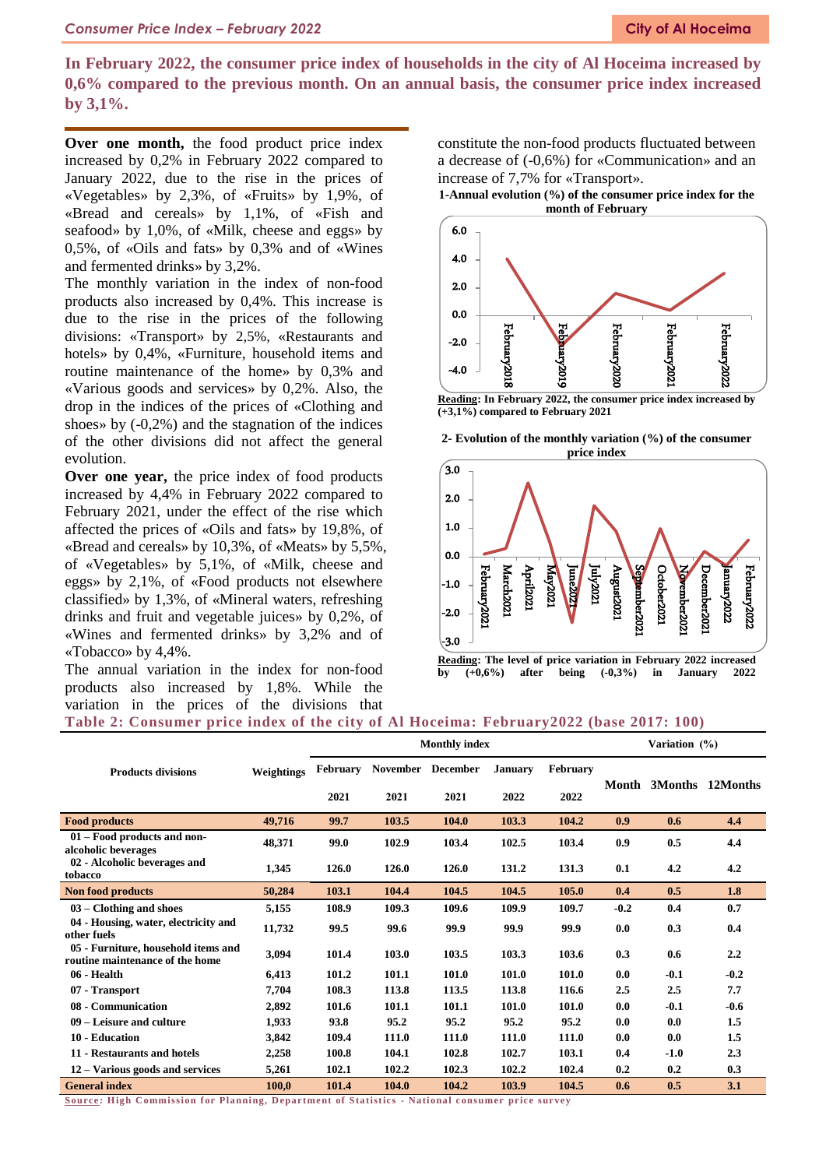**In February 2022, the consumer price index of households in the city of Al Hoceima increased by 0,6% compared to the previous month. On an annual basis, the consumer price index increased by 3,1%.**

**Over one month,** the food product price index increased by 0,2% in February 2022 compared to January 2022, due to the rise in the prices of «Vegetables» by 2,3%, of «Fruits» by 1,9%, of «Bread and cereals» by 1,1%, of «Fish and seafood» by 1,0%, of «Milk, cheese and eggs» by 0,5%, of «Oils and fats» by 0,3% and of «Wines and fermented drinks» by 3,2%.

The monthly variation in the index of non-food products also increased by 0,4%. This increase is due to the rise in the prices of the following divisions: «Transport» by 2,5%, «Restaurants and hotels» by 0,4%, «Furniture, household items and routine maintenance of the home» by 0,3% and «Various goods and services» by 0,2%. Also, the drop in the indices of the prices of «Clothing and shoes» by (-0,2%) and the stagnation of the indices of the other divisions did not affect the general evolution.

**Over one year,** the price index of food products increased by 4,4% in February 2022 compared to February 2021, under the effect of the rise which affected the prices of «Oils and fats» by 19,8%, of «Bread and cereals» by 10,3%, of «Meats» by 5,5%, of «Vegetables» by 5,1%, of «Milk, cheese and eggs» by 2,1%, of «Food products not elsewhere classified» by 1,3%, of «Mineral waters, refreshing drinks and fruit and vegetable juices» by 0,2%, of «Wines and fermented drinks» by 3,2% and of «Tobacco» by 4,4%.

The annual variation in the index for non-food products also increased by 1,8%. While the variation in the prices of the divisions that

constitute the non-food products fluctuated between a decrease of (-0,6%) for «Communication» and an increase of 7,7% for «Transport».

**1-Annual evolution (%) of the consumer price index for the month of February**



**(+3,1%) compared to February 2021**





#### **Table 2: Consumer price index of the city of Al Hoceima: February2022 (base 2017: 100)**

|                                                                        |            | <b>Monthly index</b> |                 |                 |                |          |        | Variation (%) |          |  |  |
|------------------------------------------------------------------------|------------|----------------------|-----------------|-----------------|----------------|----------|--------|---------------|----------|--|--|
|                                                                        |            |                      |                 |                 |                |          |        |               |          |  |  |
| <b>Products divisions</b>                                              | Weightings | February             | <b>November</b> | <b>December</b> | <b>January</b> | February |        |               |          |  |  |
|                                                                        |            | 2021                 | 2021            | 2021            | 2022           | 2022     | Month  | 3Months       | 12Months |  |  |
| <b>Food products</b>                                                   | 49.716     | 99.7                 | 103.5           | 104.0           | 103.3          | 104.2    | 0.9    | 0.6           | 4.4      |  |  |
| 01 – Food products and non-<br>alcoholic beverages                     | 48,371     | 99.0                 | 102.9           | 103.4           | 102.5          | 103.4    | 0.9    | 0.5           | 4.4      |  |  |
| 02 - Alcoholic beverages and<br>tobacco                                | 1,345      | 126.0                | 126.0           | 126.0           | 131.2          | 131.3    | 0.1    | 4.2           | 4.2      |  |  |
| <b>Non food products</b>                                               | 50,284     | 103.1                | 104.4           | 104.5           | 104.5          | 105.0    | 0.4    | 0.5           | 1.8      |  |  |
| $03$ – Clothing and shoes                                              | 5,155      | 108.9                | 109.3           | 109.6           | 109.9          | 109.7    | $-0.2$ | 0.4           | 0.7      |  |  |
| 04 - Housing, water, electricity and<br>other fuels                    | 11,732     | 99.5                 | 99.6            | 99.9            | 99.9           | 99.9     | 0.0    | 0.3           | 0.4      |  |  |
| 05 - Furniture, household items and<br>routine maintenance of the home | 3,094      | 101.4                | 103.0           | 103.5           | 103.3          | 103.6    | 0.3    | 0.6           | 2.2      |  |  |
| 06 - Health                                                            | 6,413      | 101.2                | 101.1           | 101.0           | 101.0          | 101.0    | 0.0    | $-0.1$        | $-0.2$   |  |  |
| 07 - Transport                                                         | 7,704      | 108.3                | 113.8           | 113.5           | 113.8          | 116.6    | 2.5    | 2.5           | 7.7      |  |  |
| 08 - Communication                                                     | 2,892      | 101.6                | 101.1           | 101.1           | 101.0          | 101.0    | 0.0    | $-0.1$        | $-0.6$   |  |  |
| 09 – Leisure and culture                                               | 1,933      | 93.8                 | 95.2            | 95.2            | 95.2           | 95.2     | 0.0    | 0.0           | 1.5      |  |  |
| 10 - Education                                                         | 3,842      | 109.4                | 111.0           | 111.0           | 111.0          | 111.0    | 0.0    | 0.0           | 1.5      |  |  |
| 11 - Restaurants and hotels                                            | 2,258      | 100.8                | 104.1           | 102.8           | 102.7          | 103.1    | 0.4    | $-1.0$        | 2.3      |  |  |
| 12 – Various goods and services                                        | 5,261      | 102.1                | 102.2           | 102.3           | 102.2          | 102.4    | 0.2    | 0.2           | 0.3      |  |  |
| <b>General index</b>                                                   | 100,0      | 101.4                | 104.0           | 104.2           | 103.9          | 104.5    | 0.6    | 0.5           | 3.1      |  |  |

**Source:** High Commission for Planning, Department of Statistics - National consumer price survey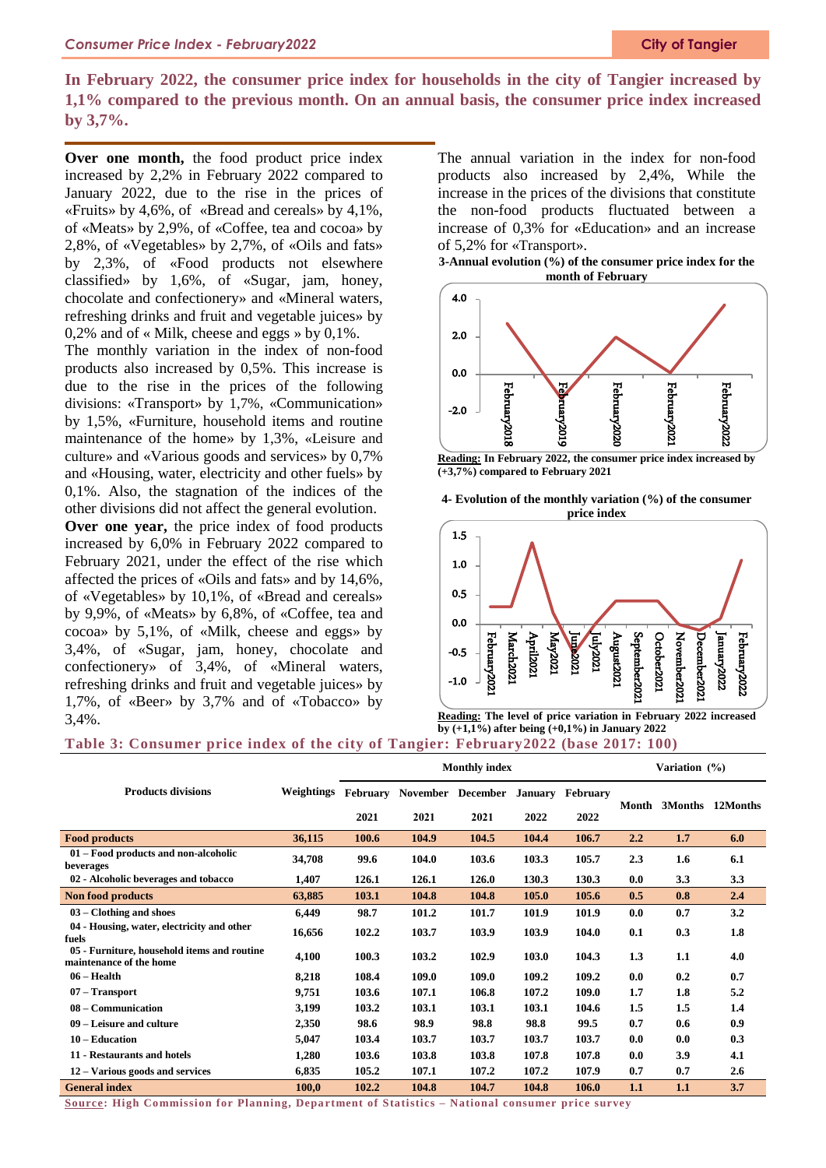# **In February 2022, the consumer price index for households in the city of Tangier increased by 1,1% compared to the previous month. On an annual basis, the consumer price index increased by 3,7%.**

**Over one month,** the food product price index increased by 2,2% in February 2022 compared to January 2022, due to the rise in the prices of «Fruits» by 4,6%, of «Bread and cereals» by 4,1%, of «Meats» by 2,9%, of «Coffee, tea and cocoa» by 2,8%, of «Vegetables» by 2,7%, of «Oils and fats» by 2,3%, of «Food products not elsewhere classified» by 1,6%, of «Sugar, jam, honey, chocolate and confectionery» and «Mineral waters, refreshing drinks and fruit and vegetable juices» by 0,2% and of « Milk, cheese and eggs » by  $0.1\%$ .

The monthly variation in the index of non-food products also increased by 0,5%. This increase is due to the rise in the prices of the following divisions: «Transport» by 1,7%, «Communication» by 1,5%, «Furniture, household items and routine maintenance of the home» by 1,3%, «Leisure and culture» and «Various goods and services» by 0,7% and «Housing, water, electricity and other fuels» by 0,1%. Also, the stagnation of the indices of the other divisions did not affect the general evolution.

**Over one year,** the price index of food products increased by 6,0% in February 2022 compared to February 2021, under the effect of the rise which affected the prices of «Oils and fats» and by 14,6%, of «Vegetables» by 10,1%, of «Bread and cereals» by 9,9%, of «Meats» by 6,8%, of «Coffee, tea and cocoa» by 5,1%, of «Milk, cheese and eggs» by 3,4%, of «Sugar, jam, honey, chocolate and confectionery» of 3,4%, of «Mineral waters, refreshing drinks and fruit and vegetable juices» by 1,7%, of «Beer» by 3,7% and of «Tobacco» by 3,4%.

The annual variation in the index for non-food products also increased by 2,4%, While the increase in the prices of the divisions that constitute the non-food products fluctuated between a increase of 0,3% for «Education» and an increase of 5,2% for «Transport».

**3-Annual evolution (%) of the consumer price index for the month of February**



**Reading: In February 2022, the consumer price index increased by (+3,7%) compared to February 2021**





**Reading: The level of price variation in February 2022 increased by (+1,1%) after being (+0,1%) in January 2022**

## **Table 3: Consumer price index of the city of Tangier: February2022 (base 2017: 100)**

|                                                                        |            | <b>Monthly index</b> |                 |                 |                |          | Variation (%) |         |          |
|------------------------------------------------------------------------|------------|----------------------|-----------------|-----------------|----------------|----------|---------------|---------|----------|
| <b>Products divisions</b>                                              | Weightings | February             | <b>November</b> | <b>December</b> | <b>January</b> | February |               |         |          |
|                                                                        |            | 2021                 | 2021            | 2021            | 2022           | 2022     | Month         | 3Months | 12Months |
| <b>Food products</b>                                                   | 36,115     | 100.6                | 104.9           | 104.5           | 104.4          | 106.7    | 2.2           | 1.7     | 6.0      |
| 01 – Food products and non-alcoholic<br>beverages                      | 34,708     | 99.6                 | 104.0           | 103.6           | 103.3          | 105.7    | 2.3           | 1.6     | 6.1      |
| 02 - Alcoholic beverages and tobacco                                   | 1,407      | 126.1                | 126.1           | 126.0           | 130.3          | 130.3    | 0.0           | 3.3     | 3.3      |
| <b>Non food products</b>                                               | 63,885     | 103.1                | 104.8           | 104.8           | 105.0          | 105.6    | 0.5           | 0.8     | 2.4      |
| $03$ – Clothing and shoes                                              | 6,449      | 98.7                 | 101.2           | 101.7           | 101.9          | 101.9    | 0.0           | 0.7     | 3.2      |
| 04 - Housing, water, electricity and other<br>fuels                    | 16,656     | 102.2                | 103.7           | 103.9           | 103.9          | 104.0    | 0.1           | 0.3     | 1.8      |
| 05 - Furniture, household items and routine<br>maintenance of the home | 4,100      | 100.3                | 103.2           | 102.9           | 103.0          | 104.3    | 1.3           | 1.1     | 4.0      |
| 06 – Health                                                            | 8,218      | 108.4                | 109.0           | 109.0           | 109.2          | 109.2    | 0.0           | 0.2     | 0.7      |
| 07 - Transport                                                         | 9,751      | 103.6                | 107.1           | 106.8           | 107.2          | 109.0    | 1.7           | 1.8     | 5.2      |
| 08 – Communication                                                     | 3,199      | 103.2                | 103.1           | 103.1           | 103.1          | 104.6    | 1.5           | 1.5     | 1.4      |
| 09 – Leisure and culture                                               | 2,350      | 98.6                 | 98.9            | 98.8            | 98.8           | 99.5     | 0.7           | 0.6     | 0.9      |
| 10 – Education                                                         | 5,047      | 103.4                | 103.7           | 103.7           | 103.7          | 103.7    | 0.0           | 0.0     | 0.3      |
| 11 - Restaurants and hotels                                            | 1,280      | 103.6                | 103.8           | 103.8           | 107.8          | 107.8    | 0.0           | 3.9     | 4.1      |
| 12 – Various goods and services                                        | 6,835      | 105.2                | 107.1           | 107.2           | 107.2          | 107.9    | 0.7           | 0.7     | 2.6      |
| <b>General index</b>                                                   | 100,0      | 102.2                | 104.8           | 104.7           | 104.8          | 106.0    | 1.1           | 1.1     | 3.7      |

**Source: High Commission for Planning, Depa rtment of Statistics – National consumer price survey**